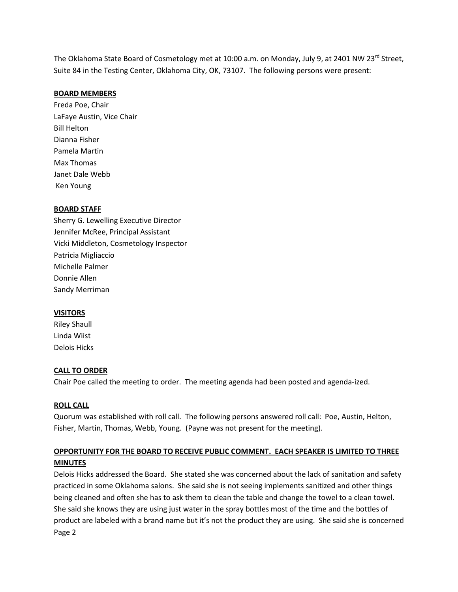The Oklahoma State Board of Cosmetology met at 10:00 a.m. on Monday, July 9, at 2401 NW 23<sup>rd</sup> Street. Suite 84 in the Testing Center, Oklahoma City, OK, 73107. The following persons were present:

### BOARD MEMBERS

Freda Poe, Chair LaFaye Austin, Vice Chair Bill Helton Dianna Fisher Pamela Martin Max Thomas Janet Dale Webb Ken Young

#### BOARD STAFF

Sherry G. Lewelling Executive Director Jennifer McRee, Principal Assistant Vicki Middleton, Cosmetology Inspector Patricia Migliaccio Michelle Palmer Donnie Allen Sandy Merriman

#### VISITORS

Riley Shaull Linda Wiist Delois Hicks

#### CALL TO ORDER

Chair Poe called the meeting to order. The meeting agenda had been posted and agenda-ized.

### ROLL CALL

Quorum was established with roll call. The following persons answered roll call: Poe, Austin, Helton, Fisher, Martin, Thomas, Webb, Young. (Payne was not present for the meeting).

## OPPORTUNITY FOR THE BOARD TO RECEIVE PUBLIC COMMENT. EACH SPEAKER IS LIMITED TO THREE MINUTES

Delois Hicks addressed the Board. She stated she was concerned about the lack of sanitation and safety practiced in some Oklahoma salons. She said she is not seeing implements sanitized and other things being cleaned and often she has to ask them to clean the table and change the towel to a clean towel. She said she knows they are using just water in the spray bottles most of the time and the bottles of product are labeled with a brand name but it's not the product they are using. She said she is concerned Page 2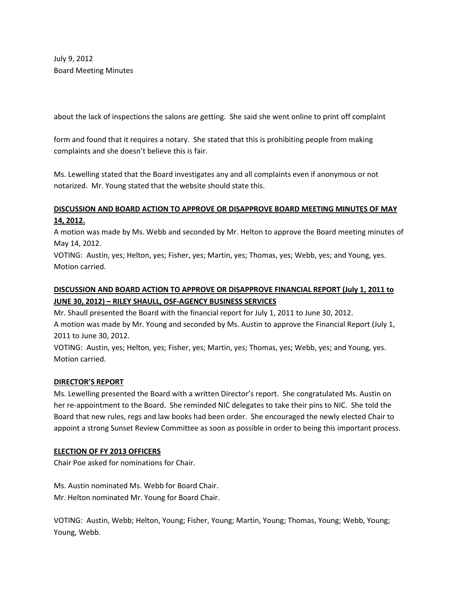July 9, 2012 Board Meeting Minutes

about the lack of inspections the salons are getting. She said she went online to print off complaint

form and found that it requires a notary. She stated that this is prohibiting people from making complaints and she doesn't believe this is fair.

Ms. Lewelling stated that the Board investigates any and all complaints even if anonymous or not notarized. Mr. Young stated that the website should state this.

# DISCUSSION AND BOARD ACTION TO APPROVE OR DISAPPROVE BOARD MEETING MINUTES OF MAY 14, 2012.

A motion was made by Ms. Webb and seconded by Mr. Helton to approve the Board meeting minutes of May 14, 2012.

VOTING: Austin, yes; Helton, yes; Fisher, yes; Martin, yes; Thomas, yes; Webb, yes; and Young, yes. Motion carried.

## DISCUSSION AND BOARD ACTION TO APPROVE OR DISAPPROVE FINANCIAL REPORT (July 1, 2011 to JUNE 30, 2012) – RILEY SHAULL, OSF-AGENCY BUSINESS SERVICES

Mr. Shaull presented the Board with the financial report for July 1, 2011 to June 30, 2012. A motion was made by Mr. Young and seconded by Ms. Austin to approve the Financial Report (July 1, 2011 to June 30, 2012.

VOTING: Austin, yes; Helton, yes; Fisher, yes; Martin, yes; Thomas, yes; Webb, yes; and Young, yes. Motion carried.

## DIRECTOR'S REPORT

Ms. Lewelling presented the Board with a written Director's report. She congratulated Ms. Austin on her re-appointment to the Board. She reminded NIC delegates to take their pins to NIC. She told the Board that new rules, regs and law books had been order. She encouraged the newly elected Chair to appoint a strong Sunset Review Committee as soon as possible in order to being this important process.

## ELECTION OF FY 2013 OFFICERS

Chair Poe asked for nominations for Chair.

Ms. Austin nominated Ms. Webb for Board Chair. Mr. Helton nominated Mr. Young for Board Chair.

VOTING: Austin, Webb; Helton, Young; Fisher, Young; Martin, Young; Thomas, Young; Webb, Young; Young, Webb.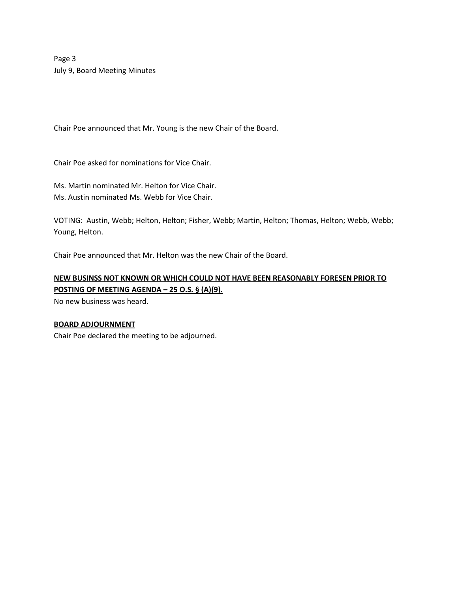Page 3 July 9, Board Meeting Minutes

Chair Poe announced that Mr. Young is the new Chair of the Board.

Chair Poe asked for nominations for Vice Chair.

Ms. Martin nominated Mr. Helton for Vice Chair. Ms. Austin nominated Ms. Webb for Vice Chair.

VOTING: Austin, Webb; Helton, Helton; Fisher, Webb; Martin, Helton; Thomas, Helton; Webb, Webb; Young, Helton.

Chair Poe announced that Mr. Helton was the new Chair of the Board.

# NEW BUSINSS NOT KNOWN OR WHICH COULD NOT HAVE BEEN REASONABLY FORESEN PRIOR TO POSTING OF MEETING AGENDA – 25 O.S. § (A)(9).

No new business was heard.

### BOARD ADJOURNMENT

Chair Poe declared the meeting to be adjourned.